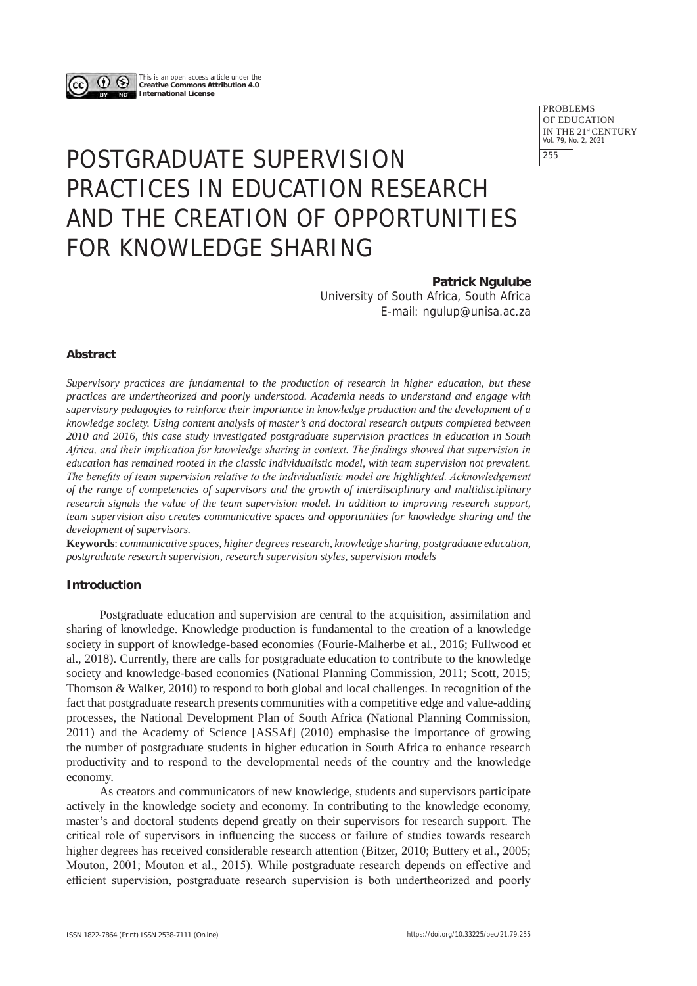

This is an open access article under the **Creative Commons Attribution 4.0 International License**

> PROBLEMS OF EDUCATION IN THE 21st CENTURY Vol. 79, No. 2, 2021 255

# POSTGRADUATE SUPERVISION PRACTICES IN EDUCATION RESEARCH AND THE CREATION OF OPPORTUNITIES FOR KNOWLEDGE SHARING

**Patrick Ngulube**

University of South Africa, South Africa E-mail: ngulup@unisa.ac.za

## **Abstract**

*Supervisory practices are fundamental to the production of research in higher education, but these practices are undertheorized and poorly understood. Academia needs to understand and engage with supervisory pedagogies to reinforce their importance in knowledge production and the development of a knowledge society. Using content analysis of master's and doctoral research outputs completed between 2010 and 2016, this case study investigated postgraduate supervision practices in education in South Africa, and their implication for knowledge sharing in context. The findings showed that supervision in education has remained rooted in the classic individualistic model, with team supervision not prevalent. The benefits of team supervision relative to the individualistic model are highlighted. Acknowledgement of the range of competencies of supervisors and the growth of interdisciplinary and multidisciplinary research signals the value of the team supervision model. In addition to improving research support, team supervision also creates communicative spaces and opportunities for knowledge sharing and the development of supervisors.* 

**Keywords**: *communicative spaces, higher degrees research, knowledge sharing, postgraduate education, postgraduate research supervision, research supervision styles, supervision models*

## **Introduction**

Postgraduate education and supervision are central to the acquisition, assimilation and sharing of knowledge. Knowledge production is fundamental to the creation of a knowledge society in support of knowledge-based economies (Fourie-Malherbe et al., 2016; Fullwood et al., 2018). Currently, there are calls for postgraduate education to contribute to the knowledge society and knowledge-based economies (National Planning Commission, 2011; Scott, 2015; Thomson & Walker, 2010) to respond to both global and local challenges. In recognition of the fact that postgraduate research presents communities with a competitive edge and value-adding processes, the National Development Plan of South Africa (National Planning Commission, 2011) and the Academy of Science [ASSAf] (2010) emphasise the importance of growing the number of postgraduate students in higher education in South Africa to enhance research productivity and to respond to the developmental needs of the country and the knowledge economy.

As creators and communicators of new knowledge, students and supervisors participate actively in the knowledge society and economy. In contributing to the knowledge economy, master's and doctoral students depend greatly on their supervisors for research support. The critical role of supervisors in influencing the success or failure of studies towards research higher degrees has received considerable research attention (Bitzer, 2010; Buttery et al., 2005; Mouton, 2001; Mouton et al., 2015). While postgraduate research depends on effective and efficient supervision, postgraduate research supervision is both undertheorized and poorly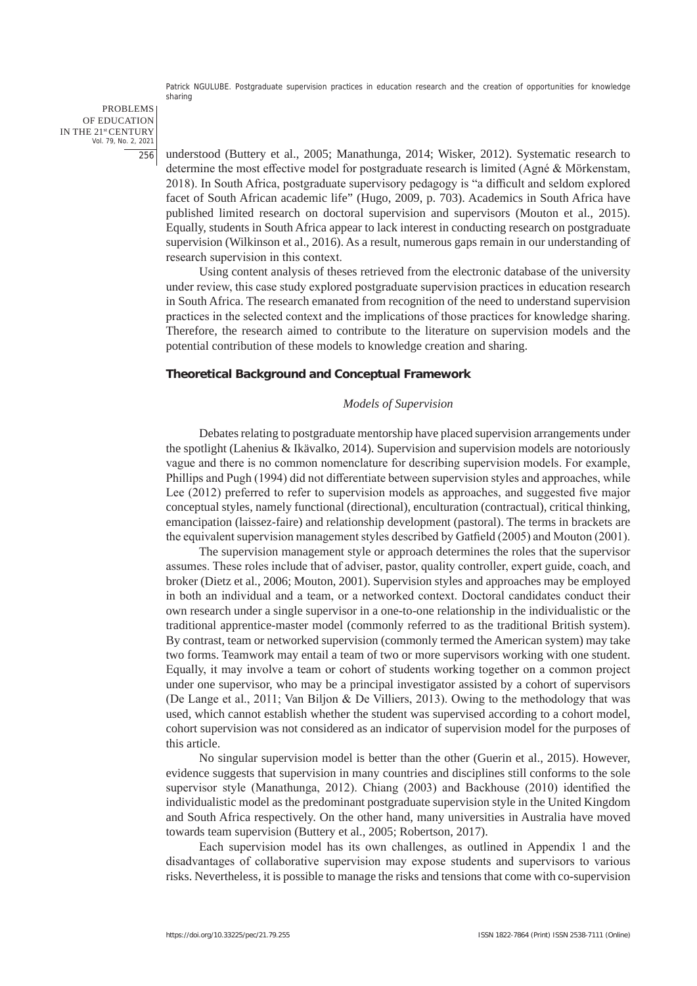PROBLEMS OF EDUCATION IN THE 21st CENTURY Vol. 79, No. 2, 2021 256

understood (Buttery et al., 2005; Manathunga, 2014; Wisker, 2012). Systematic research to determine the most effective model for postgraduate research is limited (Agné & Mörkenstam, 2018). In South Africa, postgraduate supervisory pedagogy is "a difficult and seldom explored facet of South African academic life" (Hugo, 2009, p. 703). Academics in South Africa have published limited research on doctoral supervision and supervisors (Mouton et al., 2015). Equally, students in South Africa appear to lack interest in conducting research on postgraduate supervision (Wilkinson et al., 2016). As a result, numerous gaps remain in our understanding of research supervision in this context.

Using content analysis of theses retrieved from the electronic database of the university under review, this case study explored postgraduate supervision practices in education research in South Africa. The research emanated from recognition of the need to understand supervision practices in the selected context and the implications of those practices for knowledge sharing. Therefore, the research aimed to contribute to the literature on supervision models and the potential contribution of these models to knowledge creation and sharing.

## **Theoretical Background and Conceptual Framework**

## *Models of Supervision*

Debates relating to postgraduate mentorship have placed supervision arrangements under the spotlight (Lahenius & Ikävalko, 2014). Supervision and supervision models are notoriously vague and there is no common nomenclature for describing supervision models. For example, Phillips and Pugh (1994) did not differentiate between supervision styles and approaches, while Lee (2012) preferred to refer to supervision models as approaches, and suggested five major conceptual styles, namely functional (directional), enculturation (contractual), critical thinking, emancipation (laissez-faire) and relationship development (pastoral). The terms in brackets are the equivalent supervision management styles described by Gatfield (2005) and Mouton (2001).

The supervision management style or approach determines the roles that the supervisor assumes. These roles include that of adviser, pastor, quality controller, expert guide, coach, and broker (Dietz et al., 2006; Mouton, 2001). Supervision styles and approaches may be employed in both an individual and a team, or a networked context. Doctoral candidates conduct their own research under a single supervisor in a one-to-one relationship in the individualistic or the traditional apprentice-master model (commonly referred to as the traditional British system). By contrast, team or networked supervision (commonly termed the American system) may take two forms. Teamwork may entail a team of two or more supervisors working with one student. Equally, it may involve a team or cohort of students working together on a common project under one supervisor, who may be a principal investigator assisted by a cohort of supervisors (De Lange et al., 2011; Van Biljon & De Villiers, 2013). Owing to the methodology that was used, which cannot establish whether the student was supervised according to a cohort model, cohort supervision was not considered as an indicator of supervision model for the purposes of this article.

No singular supervision model is better than the other (Guerin et al., 2015). However, evidence suggests that supervision in many countries and disciplines still conforms to the sole supervisor style (Manathunga, 2012). Chiang (2003) and Backhouse (2010) identified the individualistic model as the predominant postgraduate supervision style in the United Kingdom and South Africa respectively. On the other hand, many universities in Australia have moved towards team supervision (Buttery et al., 2005; Robertson, 2017).

Each supervision model has its own challenges, as outlined in Appendix 1 and the disadvantages of collaborative supervision may expose students and supervisors to various risks. Nevertheless, it is possible to manage the risks and tensions that come with co-supervision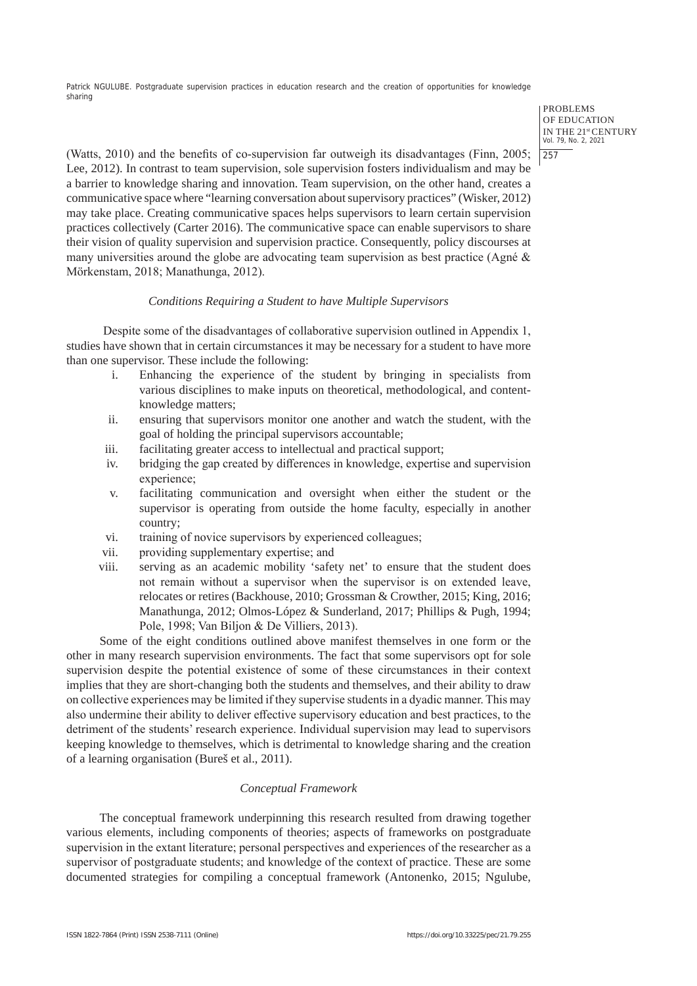> PROBLEMS OF EDUCATION IN THE 21st CENTURY Vol. 79, No. 2, 2021 257

(Watts, 2010) and the benefits of co-supervision far outweigh its disadvantages (Finn, 2005; Lee, 2012). In contrast to team supervision, sole supervision fosters individualism and may be a barrier to knowledge sharing and innovation. Team supervision, on the other hand, creates a communicative space where "learning conversation about supervisory practices" (Wisker, 2012) may take place. Creating communicative spaces helps supervisors to learn certain supervision practices collectively (Carter 2016). The communicative space can enable supervisors to share their vision of quality supervision and supervision practice. Consequently, policy discourses at many universities around the globe are advocating team supervision as best practice (Agné & Mörkenstam, 2018; Manathunga, 2012).

## *Conditions Requiring a Student to have Multiple Supervisors*

Despite some of the disadvantages of collaborative supervision outlined in Appendix 1, studies have shown that in certain circumstances it may be necessary for a student to have more than one supervisor. These include the following:

- i. Enhancing the experience of the student by bringing in specialists from various disciplines to make inputs on theoretical, methodological, and contentknowledge matters;
- ii. ensuring that supervisors monitor one another and watch the student, with the goal of holding the principal supervisors accountable;
- iii. facilitating greater access to intellectual and practical support;
- iv. bridging the gap created by differences in knowledge, expertise and supervision experience;
- v. facilitating communication and oversight when either the student or the supervisor is operating from outside the home faculty, especially in another country;
- vi. training of novice supervisors by experienced colleagues;
- vii. providing supplementary expertise; and
- viii. serving as an academic mobility 'safety net' to ensure that the student does not remain without a supervisor when the supervisor is on extended leave, relocates or retires (Backhouse, 2010; Grossman & Crowther, 2015; King, 2016; Manathunga, 2012; Olmos-López & Sunderland, 2017; Phillips & Pugh, 1994; Pole, 1998; Van Biljon & De Villiers, 2013).

Some of the eight conditions outlined above manifest themselves in one form or the other in many research supervision environments. The fact that some supervisors opt for sole supervision despite the potential existence of some of these circumstances in their context implies that they are short-changing both the students and themselves, and their ability to draw on collective experiences may be limited if they supervise students in a dyadic manner. This may also undermine their ability to deliver effective supervisory education and best practices, to the detriment of the students' research experience. Individual supervision may lead to supervisors keeping knowledge to themselves, which is detrimental to knowledge sharing and the creation of a learning organisation (Bureš et al., 2011).

# *Conceptual Framework*

The conceptual framework underpinning this research resulted from drawing together various elements, including components of theories; aspects of frameworks on postgraduate supervision in the extant literature; personal perspectives and experiences of the researcher as a supervisor of postgraduate students; and knowledge of the context of practice. These are some documented strategies for compiling a conceptual framework (Antonenko, 2015; Ngulube,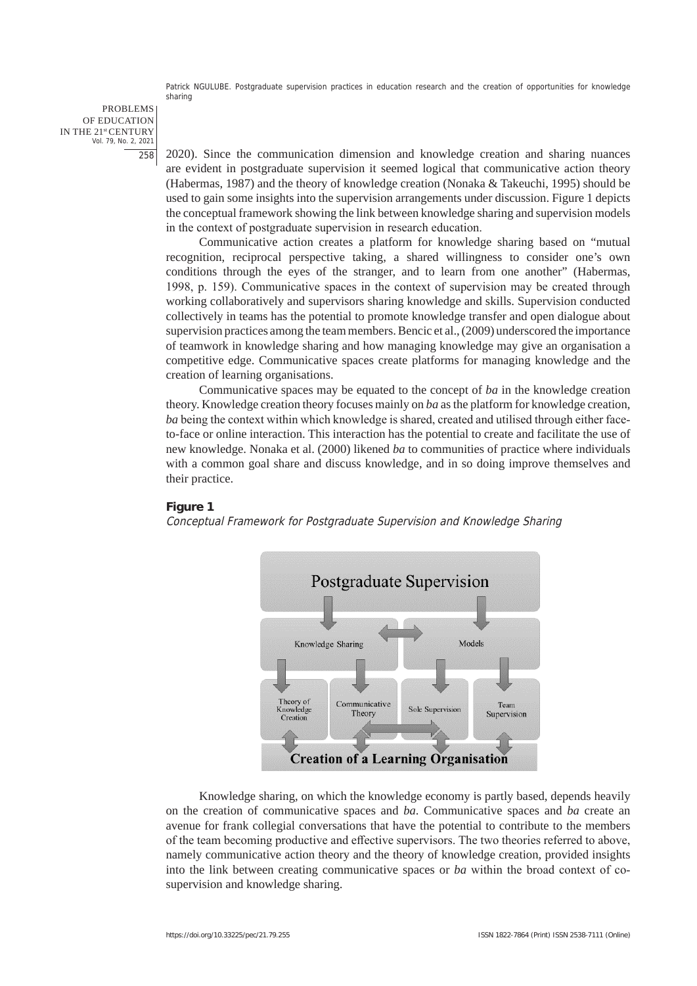PROBLEMS OF EDUCATION IN THE 21st CENTURY Vol. 79, No. 2, 2021 258

2020). Since the communication dimension and knowledge creation and sharing nuances are evident in postgraduate supervision it seemed logical that communicative action theory (Habermas, 1987) and the theory of knowledge creation (Nonaka & Takeuchi, 1995) should be used to gain some insights into the supervision arrangements under discussion. Figure 1 depicts the conceptual framework showing the link between knowledge sharing and supervision models in the context of postgraduate supervision in research education.

Communicative action creates a platform for knowledge sharing based on "mutual recognition, reciprocal perspective taking, a shared willingness to consider one's own conditions through the eyes of the stranger, and to learn from one another" (Habermas, 1998, p. 159). Communicative spaces in the context of supervision may be created through working collaboratively and supervisors sharing knowledge and skills. Supervision conducted collectively in teams has the potential to promote knowledge transfer and open dialogue about supervision practices among the team members. Bencic et al., (2009) underscored the importance of teamwork in knowledge sharing and how managing knowledge may give an organisation a competitive edge. Communicative spaces create platforms for managing knowledge and the creation of learning organisations.

Communicative spaces may be equated to the concept of *ba* in the knowledge creation theory. Knowledge creation theory focuses mainly on *ba* as the platform for knowledge creation, *ba* being the context within which knowledge is shared, created and utilised through either faceto-face or online interaction. This interaction has the potential to create and facilitate the use of new knowledge. Nonaka et al. (2000) likened *ba* to communities of practice where individuals with a common goal share and discuss knowledge, and in so doing improve themselves and their practice.

## **Figure 1**

Conceptual Framework for Postgraduate Supervision and Knowledge Sharing



Knowledge sharing, on which the knowledge economy is partly based, depends heavily on the creation of communicative spaces and *ba*. Communicative spaces and *ba* create an avenue for frank collegial conversations that have the potential to contribute to the members of the team becoming productive and effective supervisors. The two theories referred to above, namely communicative action theory and the theory of knowledge creation, provided insights into the link between creating communicative spaces or *ba* within the broad context of cosupervision and knowledge sharing.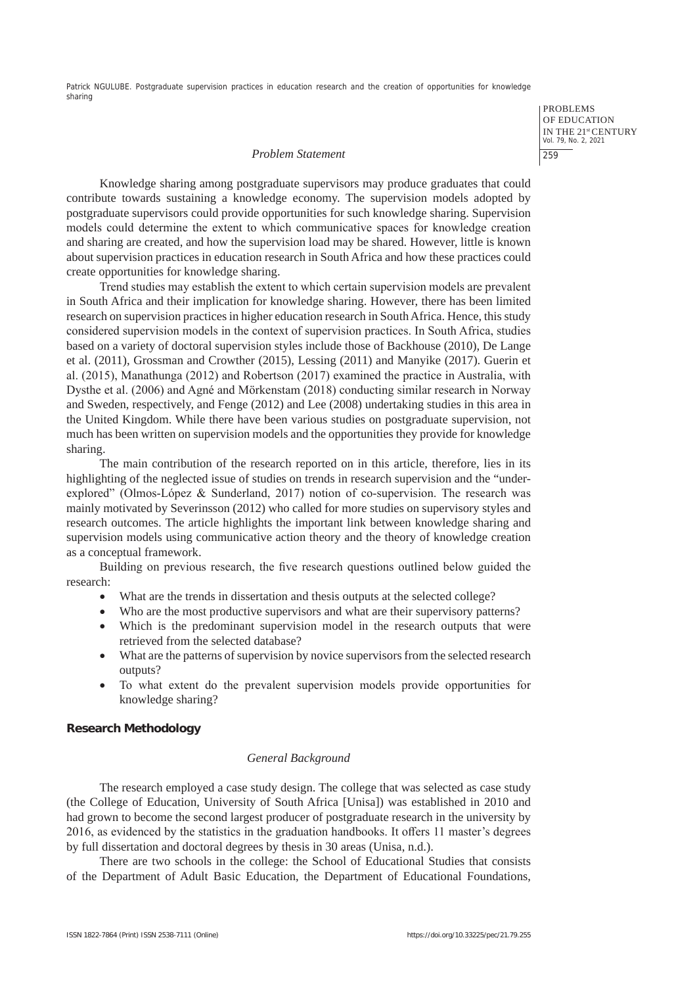PROBLEMS OF EDUCATION IN THE 21st CENTURY Vol. 79, No. 2, 2021 259

#### *Problem Statement*

Knowledge sharing among postgraduate supervisors may produce graduates that could contribute towards sustaining a knowledge economy. The supervision models adopted by postgraduate supervisors could provide opportunities for such knowledge sharing. Supervision models could determine the extent to which communicative spaces for knowledge creation and sharing are created, and how the supervision load may be shared. However, little is known about supervision practices in education research in South Africa and how these practices could create opportunities for knowledge sharing.

Trend studies may establish the extent to which certain supervision models are prevalent in South Africa and their implication for knowledge sharing. However, there has been limited research on supervision practices in higher education research in South Africa. Hence, this study considered supervision models in the context of supervision practices. In South Africa, studies based on a variety of doctoral supervision styles include those of Backhouse (2010), De Lange et al. (2011), Grossman and Crowther (2015), Lessing (2011) and Manyike (2017). Guerin et al. (2015), Manathunga (2012) and Robertson (2017) examined the practice in Australia, with Dysthe et al. (2006) and Agné and Mörkenstam (2018) conducting similar research in Norway and Sweden, respectively, and Fenge (2012) and Lee (2008) undertaking studies in this area in the United Kingdom. While there have been various studies on postgraduate supervision, not much has been written on supervision models and the opportunities they provide for knowledge sharing.

The main contribution of the research reported on in this article, therefore, lies in its highlighting of the neglected issue of studies on trends in research supervision and the "underexplored" (Olmos-López & Sunderland, 2017) notion of co-supervision. The research was mainly motivated by Severinsson (2012) who called for more studies on supervisory styles and research outcomes. The article highlights the important link between knowledge sharing and supervision models using communicative action theory and the theory of knowledge creation as a conceptual framework.

Building on previous research, the five research questions outlined below guided the research:

- What are the trends in dissertation and thesis outputs at the selected college?
- Who are the most productive supervisors and what are their supervisory patterns?
- Which is the predominant supervision model in the research outputs that were retrieved from the selected database?
- What are the patterns of supervision by novice supervisors from the selected research outputs?
- • To what extent do the prevalent supervision models provide opportunities for knowledge sharing?

#### **Research Methodology**

#### *General Background*

The research employed a case study design. The college that was selected as case study (the College of Education, University of South Africa [Unisa]) was established in 2010 and had grown to become the second largest producer of postgraduate research in the university by 2016, as evidenced by the statistics in the graduation handbooks. It offers 11 master's degrees by full dissertation and doctoral degrees by thesis in 30 areas (Unisa, n.d.).

There are two schools in the college: the School of Educational Studies that consists of the Department of Adult Basic Education, the Department of Educational Foundations,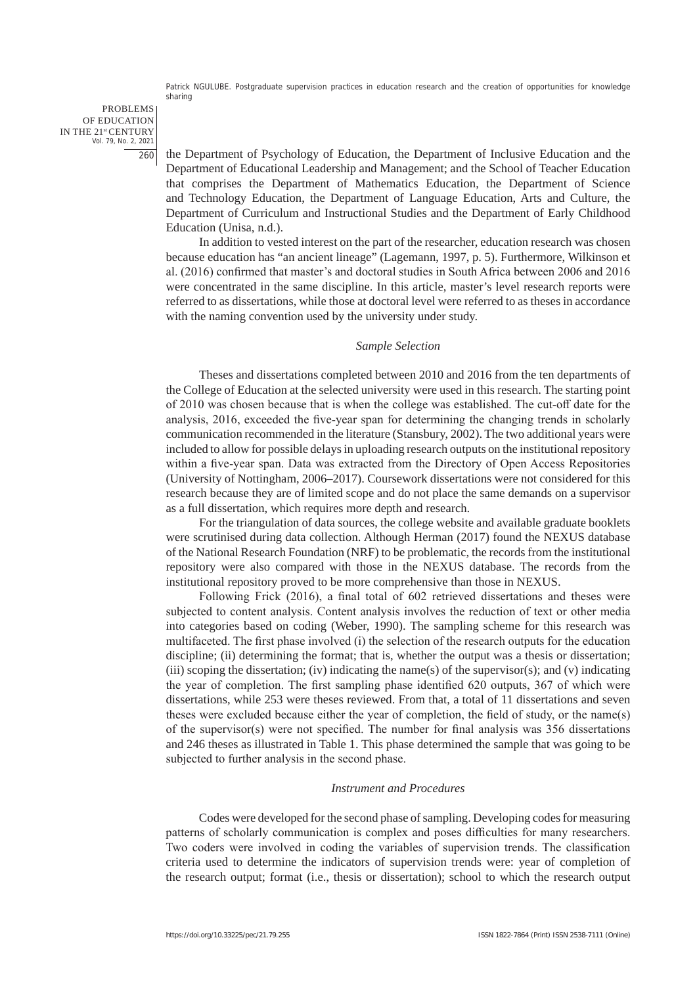PROBLEMS OF EDUCATION IN THE 21st CENTURY Vol. 79, No. 2, 2021 260

the Department of Psychology of Education, the Department of Inclusive Education and the Department of Educational Leadership and Management; and the School of Teacher Education that comprises the Department of Mathematics Education, the Department of Science and Technology Education, the Department of Language Education, Arts and Culture, the Department of Curriculum and Instructional Studies and the Department of Early Childhood Education (Unisa, n.d.).

In addition to vested interest on the part of the researcher, education research was chosen because education has "an ancient lineage" (Lagemann, 1997, p. 5). Furthermore, Wilkinson et al. (2016) confirmed that master's and doctoral studies in South Africa between 2006 and 2016 were concentrated in the same discipline. In this article, master's level research reports were referred to as dissertations, while those at doctoral level were referred to as theses in accordance with the naming convention used by the university under study.

## *Sample Selection*

Theses and dissertations completed between 2010 and 2016 from the ten departments of the College of Education at the selected university were used in this research. The starting point of 2010 was chosen because that is when the college was established. The cut-off date for the analysis, 2016, exceeded the five-year span for determining the changing trends in scholarly communication recommended in the literature (Stansbury, 2002). The two additional years were included to allow for possible delays in uploading research outputs on the institutional repository within a five-year span. Data was extracted from the Directory of Open Access Repositories (University of Nottingham, 2006–2017). Coursework dissertations were not considered for this research because they are of limited scope and do not place the same demands on a supervisor as a full dissertation, which requires more depth and research.

For the triangulation of data sources, the college website and available graduate booklets were scrutinised during data collection. Although Herman (2017) found the NEXUS database of the National Research Foundation (NRF) to be problematic, the records from the institutional repository were also compared with those in the NEXUS database. The records from the institutional repository proved to be more comprehensive than those in NEXUS.

Following Frick (2016), a final total of 602 retrieved dissertations and theses were subjected to content analysis. Content analysis involves the reduction of text or other media into categories based on coding (Weber, 1990). The sampling scheme for this research was multifaceted. The first phase involved (i) the selection of the research outputs for the education discipline; (ii) determining the format; that is, whether the output was a thesis or dissertation; (iii) scoping the dissertation; (iv) indicating the name(s) of the supervisor(s); and (v) indicating the year of completion. The first sampling phase identified 620 outputs, 367 of which were dissertations, while 253 were theses reviewed. From that, a total of 11 dissertations and seven theses were excluded because either the year of completion, the field of study, or the name(s) of the supervisor(s) were not specified. The number for final analysis was 356 dissertations and 246 theses as illustrated in Table 1. This phase determined the sample that was going to be subjected to further analysis in the second phase.

## *Instrument and Procedures*

Codes were developed for the second phase of sampling. Developing codes for measuring patterns of scholarly communication is complex and poses difficulties for many researchers. Two coders were involved in coding the variables of supervision trends. The classification criteria used to determine the indicators of supervision trends were: year of completion of the research output; format (i.e., thesis or dissertation); school to which the research output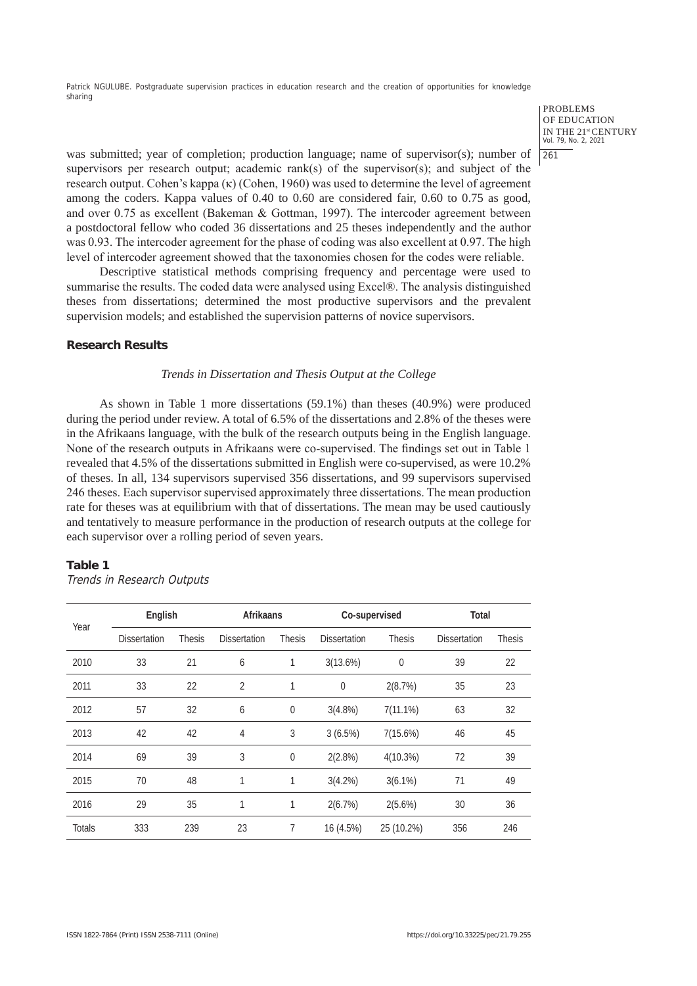PROBLEMS OF EDUCATION IN THE 21st CENTURY Vol. 79, No. 2, 2021 261

was submitted; year of completion; production language; name of supervisor(s); number of supervisors per research output; academic rank(s) of the supervisor(s); and subject of the research output. Cohen's kappa  $(\kappa)$  (Cohen, 1960) was used to determine the level of agreement among the coders. Kappa values of 0.40 to 0.60 are considered fair, 0.60 to 0.75 as good, and over 0.75 as excellent (Bakeman & Gottman, 1997). The intercoder agreement between a postdoctoral fellow who coded 36 dissertations and 25 theses independently and the author was 0.93. The intercoder agreement for the phase of coding was also excellent at 0.97. The high level of intercoder agreement showed that the taxonomies chosen for the codes were reliable.

Descriptive statistical methods comprising frequency and percentage were used to summarise the results. The coded data were analysed using Excel®. The analysis distinguished theses from dissertations; determined the most productive supervisors and the prevalent supervision models; and established the supervision patterns of novice supervisors.

## **Research Results**

#### *Trends in Dissertation and Thesis Output at the College*

As shown in Table 1 more dissertations (59.1%) than theses (40.9%) were produced during the period under review. A total of 6.5% of the dissertations and 2.8% of the theses were in the Afrikaans language, with the bulk of the research outputs being in the English language. None of the research outputs in Afrikaans were co-supervised. The findings set out in Table 1 revealed that 4.5% of the dissertations submitted in English were co-supervised, as were 10.2% of theses. In all, 134 supervisors supervised 356 dissertations, and 99 supervisors supervised 246 theses. Each supervisor supervised approximately three dissertations. The mean production rate for theses was at equilibrium with that of dissertations. The mean may be used cautiously and tentatively to measure performance in the production of research outputs at the college for each supervisor over a rolling period of seven years.

#### **Table 1**

Trends in Research Outputs

|               | English             |               | Afrikaans           |               | Co-supervised       |               | Total               |               |
|---------------|---------------------|---------------|---------------------|---------------|---------------------|---------------|---------------------|---------------|
| Year          | <b>Dissertation</b> | <b>Thesis</b> | <b>Dissertation</b> | <b>Thesis</b> | <b>Dissertation</b> | <b>Thesis</b> | <b>Dissertation</b> | <b>Thesis</b> |
| 2010          | 33                  | 21            | 6                   | 1             | 3(13.6%)            | $\mathbf 0$   | 39                  | 22            |
| 2011          | 33                  | 22            | 2                   |               | $\mathbf{0}$        | 2(8.7%)       | 35                  | 23            |
| 2012          | 57                  | 32            | 6                   | 0             | $3(4.8\%)$          | $7(11.1\%)$   | 63                  | 32            |
| 2013          | 42                  | 42            | 4                   | 3             | 3(6.5%)             | 7(15.6%)      | 46                  | 45            |
| 2014          | 69                  | 39            | 3                   | $\mathbf 0$   | 2(2.8%)             | $4(10.3\%)$   | 72                  | 39            |
| 2015          | 70                  | 48            | 1                   | 1             | $3(4.2\%)$          | $3(6.1\%)$    | 71                  | 49            |
| 2016          | 29                  | 35            | 1                   | 1             | 2(6.7%)             | 2(5.6%)       | 30                  | 36            |
| <b>Totals</b> | 333                 | 239           | 23                  | 7             | 16 (4.5%)           | 25 (10.2%)    | 356                 | 246           |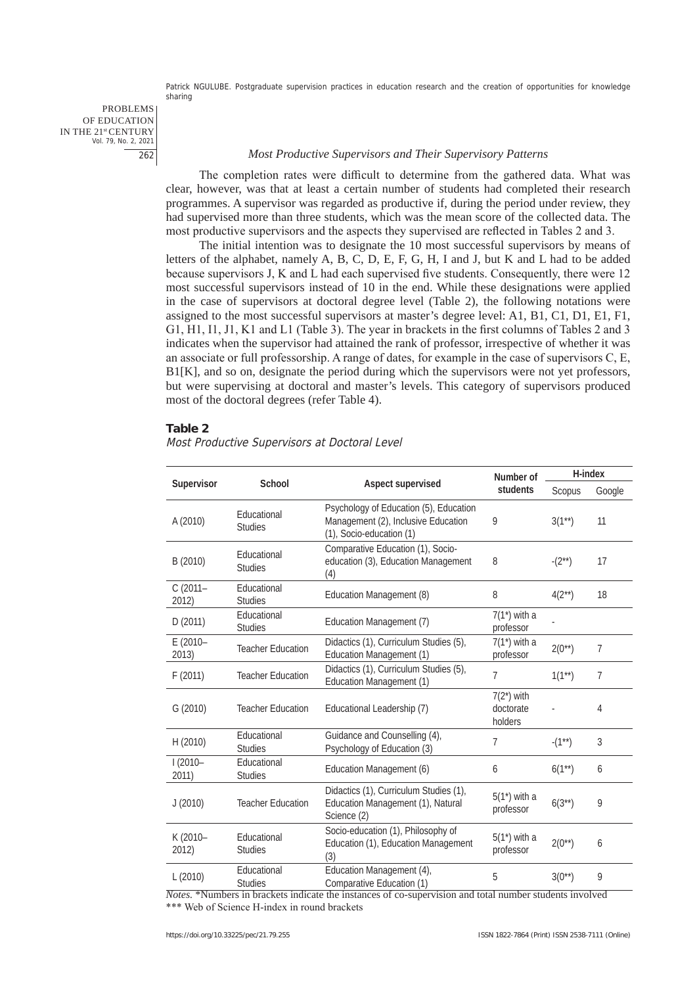PROBLEMS OF EDUCATION IN THE 21st CENTURY Vol. 79, No. 2, 2021 262

#### *Most Productive Supervisors and Their Supervisory Patterns*

The completion rates were difficult to determine from the gathered data. What was clear, however, was that at least a certain number of students had completed their research programmes. A supervisor was regarded as productive if, during the period under review, they had supervised more than three students, which was the mean score of the collected data. The most productive supervisors and the aspects they supervised are reflected in Tables 2 and 3.

The initial intention was to designate the 10 most successful supervisors by means of letters of the alphabet, namely A, B, C, D, E, F, G, H, I and J, but K and L had to be added because supervisors J, K and L had each supervised five students. Consequently, there were 12 most successful supervisors instead of 10 in the end. While these designations were applied in the case of supervisors at doctoral degree level (Table 2), the following notations were assigned to the most successful supervisors at master's degree level: A1, B1, C1, D1, E1, F1, G1, H1, I1, J1, K1 and L1 (Table 3). The year in brackets in the first columns of Tables 2 and 3 indicates when the supervisor had attained the rank of professor, irrespective of whether it was an associate or full professorship. A range of dates, for example in the case of supervisors C, E, B1[K], and so on, designate the period during which the supervisors were not yet professors, but were supervising at doctoral and master's levels. This category of supervisors produced most of the doctoral degrees (refer Table 4).

#### **Table 2**

Most Productive Supervisors at Doctoral Level

|                     |                               |                                                                                                           | Number of                             | H-index     |        |
|---------------------|-------------------------------|-----------------------------------------------------------------------------------------------------------|---------------------------------------|-------------|--------|
| Supervisor          | School                        | Aspect supervised                                                                                         | students                              | Scopus      | Google |
| A (2010)            | Educational<br><b>Studies</b> | Psychology of Education (5), Education<br>Management (2), Inclusive Education<br>(1), Socio-education (1) | 9                                     | $3(1^{**})$ | 11     |
| B (2010)            | Educational<br><b>Studies</b> | Comparative Education (1), Socio-<br>education (3), Education Management<br>(4)                           | 8                                     | $-(2^{**})$ | 17     |
| $C(2011 -$<br>2012) | Educational<br><b>Studies</b> | Education Management (8)                                                                                  | 8                                     | $4(2^{**})$ | 18     |
| D(2011)             | Educational<br><b>Studies</b> | Education Management (7)                                                                                  | $7(1^*)$ with a<br>professor          |             |        |
| E (2010-<br>2013)   | <b>Teacher Education</b>      | Didactics (1), Curriculum Studies (5),<br>Education Management (1)                                        | $7(1^*)$ with a<br>professor          | $2(0^{**})$ | 7      |
| F(2011)             | <b>Teacher Education</b>      | Didactics (1), Curriculum Studies (5),<br>Education Management (1)                                        | $\overline{7}$                        | $1(1^{**})$ | 7      |
| G (2010)            | <b>Teacher Education</b>      | Educational Leadership (7)                                                                                | $7(2^*)$ with<br>doctorate<br>holders |             | 4      |
| H (2010)            | Educational<br><b>Studies</b> | Guidance and Counselling (4),<br>Psychology of Education (3)                                              | $\overline{7}$                        | $-(1^{**})$ | 3      |
| $1(2010 -$<br>2011) | Educational<br><b>Studies</b> | Education Management (6)                                                                                  | 6                                     | $6(1**)$    | 6      |
| J(2010)             | <b>Teacher Education</b>      | Didactics (1), Curriculum Studies (1),<br>Education Management (1), Natural<br>Science (2)                | $5(1^*)$ with a<br>professor          | $6(3^{**})$ | 9      |
| K (2010-<br>2012)   | Educational<br><b>Studies</b> | Socio-education (1), Philosophy of<br>Education (1), Education Management<br>(3)                          | $5(1^*)$ with a<br>professor          | $2(0^{**})$ | 6      |
| L (2010)            | Educational<br><b>Studies</b> | Education Management (4),<br>Comparative Education (1)                                                    | 5                                     | $3(0^{**})$ | 9      |

*Notes.* \*Numbers in brackets indicate the instances of co-supervision and total number students involved \*\*\* Web of Science H-index in round brackets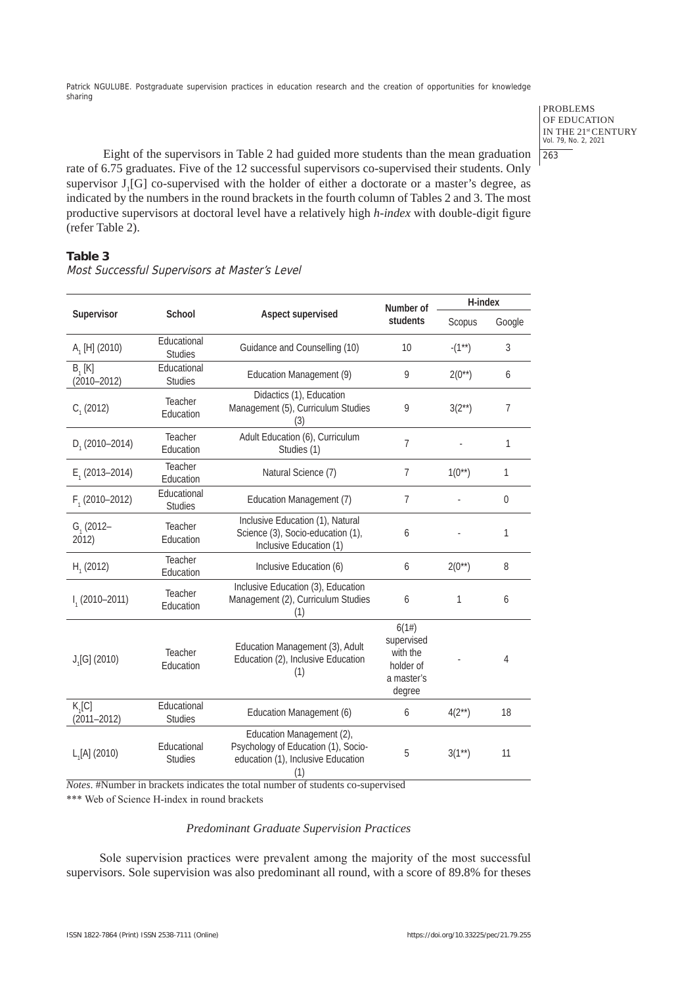PROBLEMS OF EDUCATION IN THE 21<sup>st</sup> CENTURY<br>Vol. 79, No. 2, 2021 263

Eight of the supervisors in Table 2 had guided more students than the mean graduation rate of 6.75 graduates. Five of the 12 successful supervisors co-supervised their students. Only supervisor  $J_1[G]$  co-supervised with the holder of either a doctorate or a master's degree, as indicated by the numbers in the round brackets in the fourth column of Tables 2 and 3. The most productive supervisors at doctoral level have a relatively high *h-index* with double-digit figure (refer Table 2).

# **Table 3**

|                             |                               |                                                                                                               | Number of                                                            | H-index     |                  |
|-----------------------------|-------------------------------|---------------------------------------------------------------------------------------------------------------|----------------------------------------------------------------------|-------------|------------------|
| Supervisor                  | School                        | Aspect supervised                                                                                             | students                                                             | Scopus      | Google           |
| $A_1$ [H] (2010)            | Educational<br><b>Studies</b> | Guidance and Counselling (10)                                                                                 | 10                                                                   | $-(1^{**})$ | 3                |
| $B_1[K]$<br>$(2010 - 2012)$ | Educational<br><b>Studies</b> | Education Management (9)                                                                                      | 9                                                                    | $2(0^{**})$ | 6                |
| $C1$ (2012)                 | Teacher<br>Education          | Didactics (1), Education<br>Management (5), Curriculum Studies<br>(3)                                         | 9                                                                    | $3(2^{**})$ | $\overline{7}$   |
| $D_1$ (2010–2014)           | Teacher<br>Education          | Adult Education (6), Curriculum<br>Studies (1)                                                                | 7                                                                    |             | 1                |
| $E_1(2013 - 2014)$          | Teacher<br>Education          | Natural Science (7)                                                                                           | $\overline{7}$                                                       | $1(0^{**})$ | 1                |
| $F1$ (2010-2012)            | Educational<br><b>Studies</b> | Education Management (7)                                                                                      | $\overline{7}$                                                       |             | $\boldsymbol{0}$ |
| $G1$ (2012-<br>2012)        | Teacher<br>Education          | Inclusive Education (1), Natural<br>Science (3), Socio-education (1),<br>Inclusive Education (1)              | 6                                                                    |             | 1                |
| $H1$ (2012)                 | Teacher<br>Education          | Inclusive Education (6)                                                                                       | 6                                                                    | $2(0^{**})$ | 8                |
| $I1$ (2010-2011)            | Teacher<br>Education          | Inclusive Education (3), Education<br>Management (2), Curriculum Studies<br>(1)                               | 6                                                                    | 1           | 6                |
| $J1[G]$ (2010)              | Teacher<br>Education          | Education Management (3), Adult<br>Education (2), Inclusive Education<br>(1)                                  | 6(1#)<br>supervised<br>with the<br>holder of<br>a master's<br>degree |             | 4                |
| $K_1[C]$<br>$(2011 - 2012)$ | Educational<br><b>Studies</b> | Education Management (6)                                                                                      | 6                                                                    | $4(2^{**})$ | 18               |
| $L_1[A]$ (2010)             | Educational<br><b>Studies</b> | Education Management (2),<br>Psychology of Education (1), Socio-<br>education (1), Inclusive Education<br>(1) | 5                                                                    | $3(1**)$    | 11               |

Most Successful Supervisors at Master's Level

*Notes*. #Number in brackets indicates the total number of students co-supervised

\*\*\* Web of Science H-index in round brackets

## *Predominant Graduate Supervision Practices*

Sole supervision practices were prevalent among the majority of the most successful supervisors. Sole supervision was also predominant all round, with a score of 89.8% for theses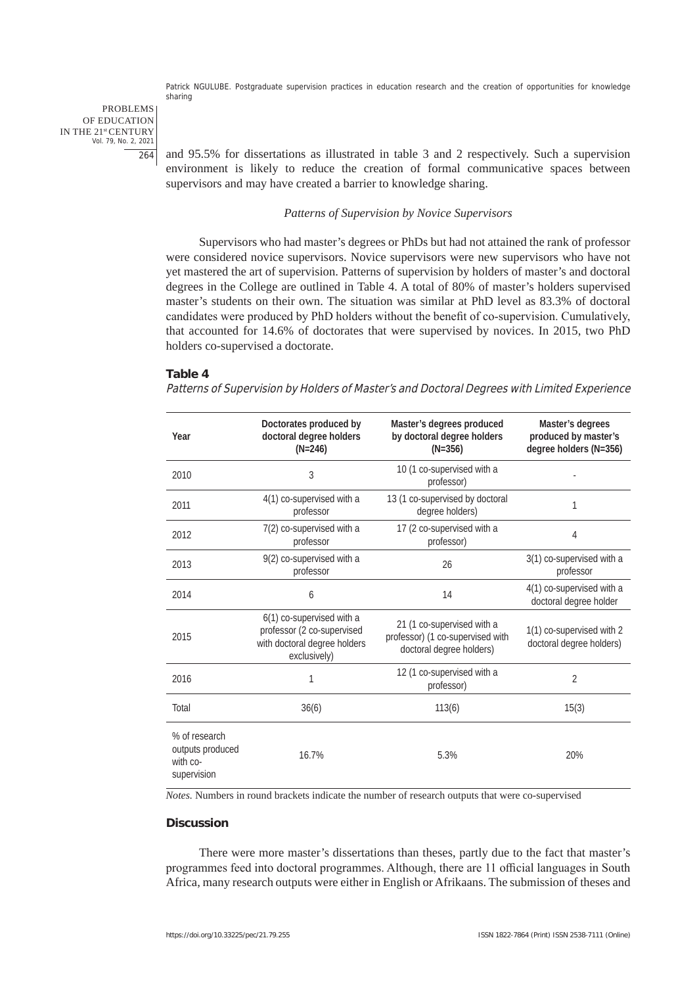PROBLEMS OF EDUCATION IN THE 21st CENTURY Vol. 79, No. 2, 2021 264

and 95.5% for dissertations as illustrated in table 3 and 2 respectively. Such a supervision environment is likely to reduce the creation of formal communicative spaces between supervisors and may have created a barrier to knowledge sharing.

#### *Patterns of Supervision by Novice Supervisors*

Supervisors who had master's degrees or PhDs but had not attained the rank of professor were considered novice supervisors. Novice supervisors were new supervisors who have not yet mastered the art of supervision. Patterns of supervision by holders of master's and doctoral degrees in the College are outlined in Table 4. A total of 80% of master's holders supervised master's students on their own. The situation was similar at PhD level as 83.3% of doctoral candidates were produced by PhD holders without the benefit of co-supervision. Cumulatively, that accounted for 14.6% of doctorates that were supervised by novices. In 2015, two PhD holders co-supervised a doctorate.

## **Table 4**

Patterns of Supervision by Holders of Master's and Doctoral Degrees with Limited Experience

| Year                                                         | Doctorates produced by<br>doctoral degree holders<br>$(N=246)$                                          | Master's degrees produced<br>by doctoral degree holders<br>$(N=356)$                       | Master's degrees<br>produced by master's<br>degree holders (N=356) |
|--------------------------------------------------------------|---------------------------------------------------------------------------------------------------------|--------------------------------------------------------------------------------------------|--------------------------------------------------------------------|
| 2010                                                         | 3                                                                                                       | 10 (1 co-supervised with a<br>professor)                                                   |                                                                    |
| 2011                                                         | 4(1) co-supervised with a<br>professor                                                                  | 13 (1 co-supervised by doctoral<br>degree holders)                                         | 1                                                                  |
| 2012                                                         | 7(2) co-supervised with a<br>professor                                                                  | 17 (2 co-supervised with a<br>professor)                                                   | $\overline{4}$                                                     |
| 2013                                                         | 9(2) co-supervised with a<br>professor                                                                  | 26                                                                                         | 3(1) co-supervised with a<br>professor                             |
| 2014                                                         | 6                                                                                                       | 14                                                                                         | 4(1) co-supervised with a<br>doctoral degree holder                |
| 2015                                                         | 6(1) co-supervised with a<br>professor (2 co-supervised<br>with doctoral degree holders<br>exclusively) | 21 (1 co-supervised with a<br>professor) (1 co-supervised with<br>doctoral degree holders) | 1(1) co-supervised with 2<br>doctoral degree holders)              |
| 2016                                                         | 1                                                                                                       | 12 (1 co-supervised with a<br>professor)                                                   | $\overline{2}$                                                     |
| Total                                                        | 36(6)                                                                                                   | 113(6)                                                                                     | 15(3)                                                              |
| % of research<br>outputs produced<br>with co-<br>supervision | 16.7%                                                                                                   | 5.3%                                                                                       | 20%                                                                |

*Notes.* Numbers in round brackets indicate the number of research outputs that were co-supervised

## **Discussion**

There were more master's dissertations than theses, partly due to the fact that master's programmes feed into doctoral programmes. Although, there are 11 official languages in South Africa, many research outputs were either in English or Afrikaans. The submission of theses and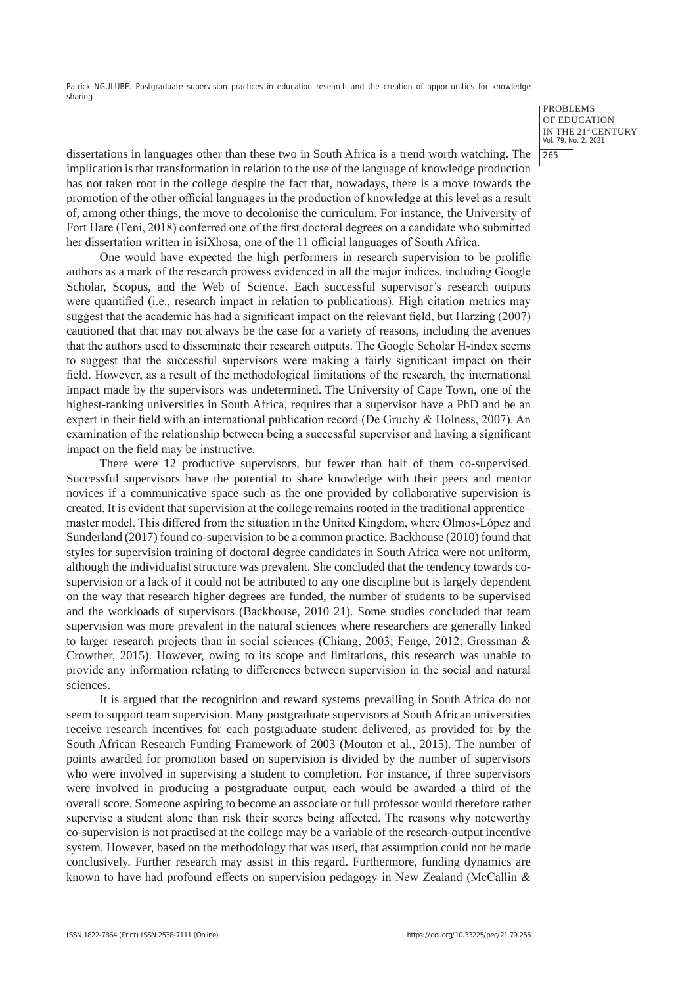> PROBLEMS OF EDUCATION IN THE 21st CENTURY Vol. 79, No. 2, 2021 265

dissertations in languages other than these two in South Africa is a trend worth watching. The implication is that transformation in relation to the use of the language of knowledge production has not taken root in the college despite the fact that, nowadays, there is a move towards the promotion of the other official languages in the production of knowledge at this level as a result of, among other things, the move to decolonise the curriculum. For instance, the University of Fort Hare (Feni, 2018) conferred one of the first doctoral degrees on a candidate who submitted her dissertation written in isiXhosa, one of the 11 official languages of South Africa.

One would have expected the high performers in research supervision to be prolific authors as a mark of the research prowess evidenced in all the major indices, including Google Scholar, Scopus, and the Web of Science. Each successful supervisor's research outputs were quantified (i.e., research impact in relation to publications). High citation metrics may suggest that the academic has had a significant impact on the relevant field, but Harzing (2007) cautioned that that may not always be the case for a variety of reasons, including the avenues that the authors used to disseminate their research outputs. The Google Scholar H-index seems to suggest that the successful supervisors were making a fairly significant impact on their field. However, as a result of the methodological limitations of the research, the international impact made by the supervisors was undetermined. The University of Cape Town, one of the highest-ranking universities in South Africa, requires that a supervisor have a PhD and be an expert in their field with an international publication record (De Gruchy & Holness, 2007). An examination of the relationship between being a successful supervisor and having a significant impact on the field may be instructive.

There were 12 productive supervisors, but fewer than half of them co-supervised. Successful supervisors have the potential to share knowledge with their peers and mentor novices if a communicative space such as the one provided by collaborative supervision is created. It is evident that supervision at the college remains rooted in the traditional apprentice– master model. This differed from the situation in the United Kingdom, where Olmos-López and Sunderland (2017) found co-supervision to be a common practice. Backhouse (2010) found that styles for supervision training of doctoral degree candidates in South Africa were not uniform, although the individualist structure was prevalent. She concluded that the tendency towards cosupervision or a lack of it could not be attributed to any one discipline but is largely dependent on the way that research higher degrees are funded, the number of students to be supervised and the workloads of supervisors (Backhouse, 2010 21). Some studies concluded that team supervision was more prevalent in the natural sciences where researchers are generally linked to larger research projects than in social sciences (Chiang, 2003; Fenge, 2012; Grossman & Crowther, 2015). However, owing to its scope and limitations, this research was unable to provide any information relating to differences between supervision in the social and natural sciences.

It is argued that the recognition and reward systems prevailing in South Africa do not seem to support team supervision. Many postgraduate supervisors at South African universities receive research incentives for each postgraduate student delivered, as provided for by the South African Research Funding Framework of 2003 (Mouton et al., 2015). The number of points awarded for promotion based on supervision is divided by the number of supervisors who were involved in supervising a student to completion. For instance, if three supervisors were involved in producing a postgraduate output, each would be awarded a third of the overall score. Someone aspiring to become an associate or full professor would therefore rather supervise a student alone than risk their scores being affected. The reasons why noteworthy co-supervision is not practised at the college may be a variable of the research-output incentive system. However, based on the methodology that was used, that assumption could not be made conclusively. Further research may assist in this regard. Furthermore, funding dynamics are known to have had profound effects on supervision pedagogy in New Zealand (McCallin &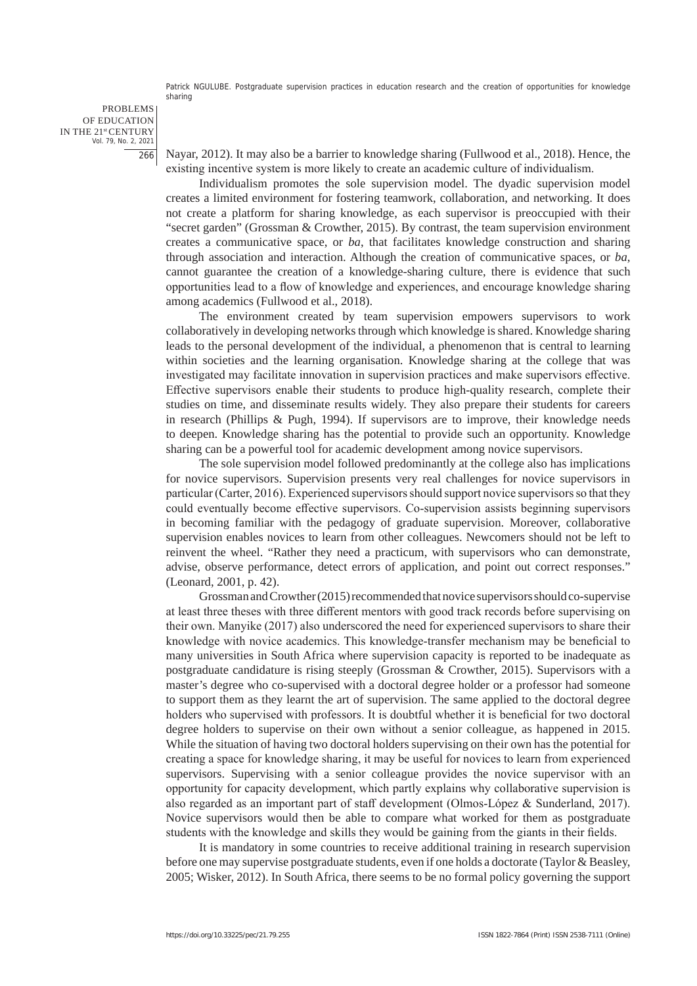PROBLEMS OF EDUCATION IN THE 21st CENTURY Vol. 79, No. 2, 2021 266

Nayar, 2012). It may also be a barrier to knowledge sharing (Fullwood et al., 2018). Hence, the existing incentive system is more likely to create an academic culture of individualism.

Individualism promotes the sole supervision model. The dyadic supervision model creates a limited environment for fostering teamwork, collaboration, and networking. It does not create a platform for sharing knowledge, as each supervisor is preoccupied with their "secret garden" (Grossman & Crowther, 2015). By contrast, the team supervision environment creates a communicative space, or *ba*, that facilitates knowledge construction and sharing through association and interaction. Although the creation of communicative spaces, or *ba*, cannot guarantee the creation of a knowledge-sharing culture, there is evidence that such opportunities lead to a flow of knowledge and experiences, and encourage knowledge sharing among academics (Fullwood et al., 2018).

The environment created by team supervision empowers supervisors to work collaboratively in developing networks through which knowledge is shared. Knowledge sharing leads to the personal development of the individual, a phenomenon that is central to learning within societies and the learning organisation. Knowledge sharing at the college that was investigated may facilitate innovation in supervision practices and make supervisors effective. Effective supervisors enable their students to produce high-quality research, complete their studies on time, and disseminate results widely. They also prepare their students for careers in research (Phillips & Pugh, 1994). If supervisors are to improve, their knowledge needs to deepen. Knowledge sharing has the potential to provide such an opportunity. Knowledge sharing can be a powerful tool for academic development among novice supervisors.

The sole supervision model followed predominantly at the college also has implications for novice supervisors. Supervision presents very real challenges for novice supervisors in particular (Carter, 2016). Experienced supervisors should support novice supervisors so that they could eventually become effective supervisors. Co-supervision assists beginning supervisors in becoming familiar with the pedagogy of graduate supervision. Moreover, collaborative supervision enables novices to learn from other colleagues. Newcomers should not be left to reinvent the wheel. "Rather they need a practicum, with supervisors who can demonstrate, advise, observe performance, detect errors of application, and point out correct responses." (Leonard, 2001, p. 42).

Grossman and Crowther (2015) recommended that novice supervisors should co-supervise at least three theses with three different mentors with good track records before supervising on their own. Manyike (2017) also underscored the need for experienced supervisors to share their knowledge with novice academics. This knowledge-transfer mechanism may be beneficial to many universities in South Africa where supervision capacity is reported to be inadequate as postgraduate candidature is rising steeply (Grossman & Crowther, 2015). Supervisors with a master's degree who co-supervised with a doctoral degree holder or a professor had someone to support them as they learnt the art of supervision. The same applied to the doctoral degree holders who supervised with professors. It is doubtful whether it is beneficial for two doctoral degree holders to supervise on their own without a senior colleague, as happened in 2015. While the situation of having two doctoral holders supervising on their own has the potential for creating a space for knowledge sharing, it may be useful for novices to learn from experienced supervisors. Supervising with a senior colleague provides the novice supervisor with an opportunity for capacity development, which partly explains why collaborative supervision is also regarded as an important part of staff development (Olmos-López & Sunderland, 2017). Novice supervisors would then be able to compare what worked for them as postgraduate students with the knowledge and skills they would be gaining from the giants in their fields.

It is mandatory in some countries to receive additional training in research supervision before one may supervise postgraduate students, even if one holds a doctorate (Taylor & Beasley, 2005; Wisker, 2012). In South Africa, there seems to be no formal policy governing the support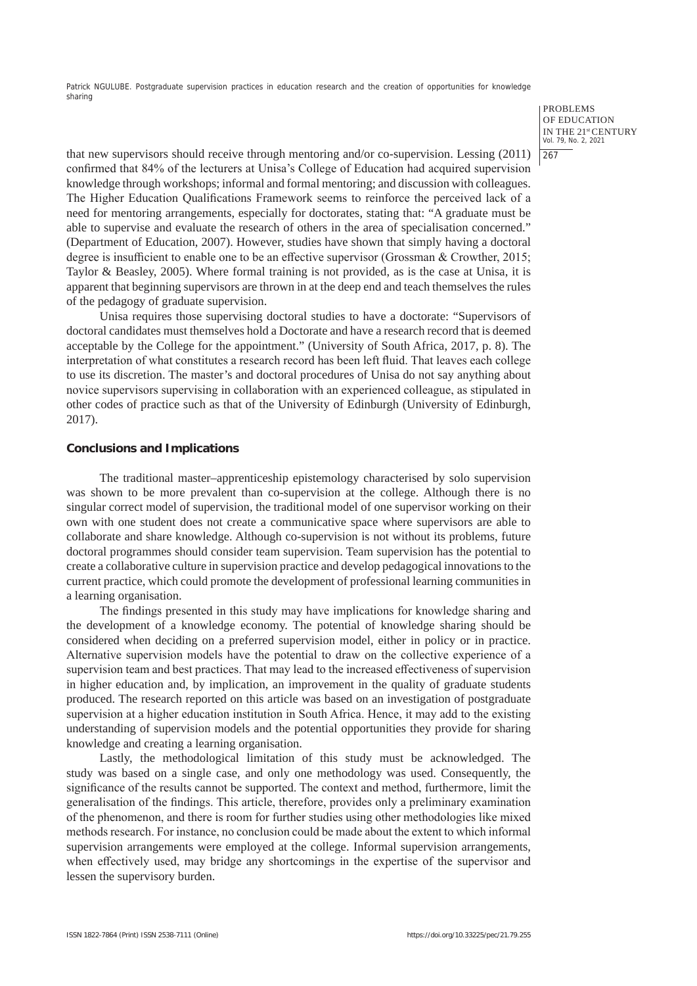> PROBLEMS OF EDUCATION IN THE 21st CENTURY Vol. 79, No. 2, 2021

# $1267$

that new supervisors should receive through mentoring and/or co-supervision. Lessing (2011) confirmed that 84% of the lecturers at Unisa's College of Education had acquired supervision knowledge through workshops; informal and formal mentoring; and discussion with colleagues. The Higher Education Qualifications Framework seems to reinforce the perceived lack of a need for mentoring arrangements, especially for doctorates, stating that: "A graduate must be able to supervise and evaluate the research of others in the area of specialisation concerned." (Department of Education, 2007). However, studies have shown that simply having a doctoral degree is insufficient to enable one to be an effective supervisor (Grossman & Crowther, 2015; Taylor & Beasley, 2005). Where formal training is not provided, as is the case at Unisa, it is apparent that beginning supervisors are thrown in at the deep end and teach themselves the rules of the pedagogy of graduate supervision.

Unisa requires those supervising doctoral studies to have a doctorate: "Supervisors of doctoral candidates must themselves hold a Doctorate and have a research record that is deemed acceptable by the College for the appointment." (University of South Africa, 2017, p. 8). The interpretation of what constitutes a research record has been left fluid. That leaves each college to use its discretion. The master's and doctoral procedures of Unisa do not say anything about novice supervisors supervising in collaboration with an experienced colleague, as stipulated in other codes of practice such as that of the University of Edinburgh (University of Edinburgh, 2017).

## **Conclusions and Implications**

The traditional master–apprenticeship epistemology characterised by solo supervision was shown to be more prevalent than co-supervision at the college. Although there is no singular correct model of supervision, the traditional model of one supervisor working on their own with one student does not create a communicative space where supervisors are able to collaborate and share knowledge. Although co-supervision is not without its problems, future doctoral programmes should consider team supervision. Team supervision has the potential to create a collaborative culture in supervision practice and develop pedagogical innovations to the current practice, which could promote the development of professional learning communities in a learning organisation.

The findings presented in this study may have implications for knowledge sharing and the development of a knowledge economy. The potential of knowledge sharing should be considered when deciding on a preferred supervision model, either in policy or in practice. Alternative supervision models have the potential to draw on the collective experience of a supervision team and best practices. That may lead to the increased effectiveness of supervision in higher education and, by implication, an improvement in the quality of graduate students produced. The research reported on this article was based on an investigation of postgraduate supervision at a higher education institution in South Africa. Hence, it may add to the existing understanding of supervision models and the potential opportunities they provide for sharing knowledge and creating a learning organisation.

Lastly, the methodological limitation of this study must be acknowledged. The study was based on a single case, and only one methodology was used. Consequently, the significance of the results cannot be supported. The context and method, furthermore, limit the generalisation of the findings. This article, therefore, provides only a preliminary examination of the phenomenon, and there is room for further studies using other methodologies like mixed methods research. For instance, no conclusion could be made about the extent to which informal supervision arrangements were employed at the college. Informal supervision arrangements, when effectively used, may bridge any shortcomings in the expertise of the supervisor and lessen the supervisory burden.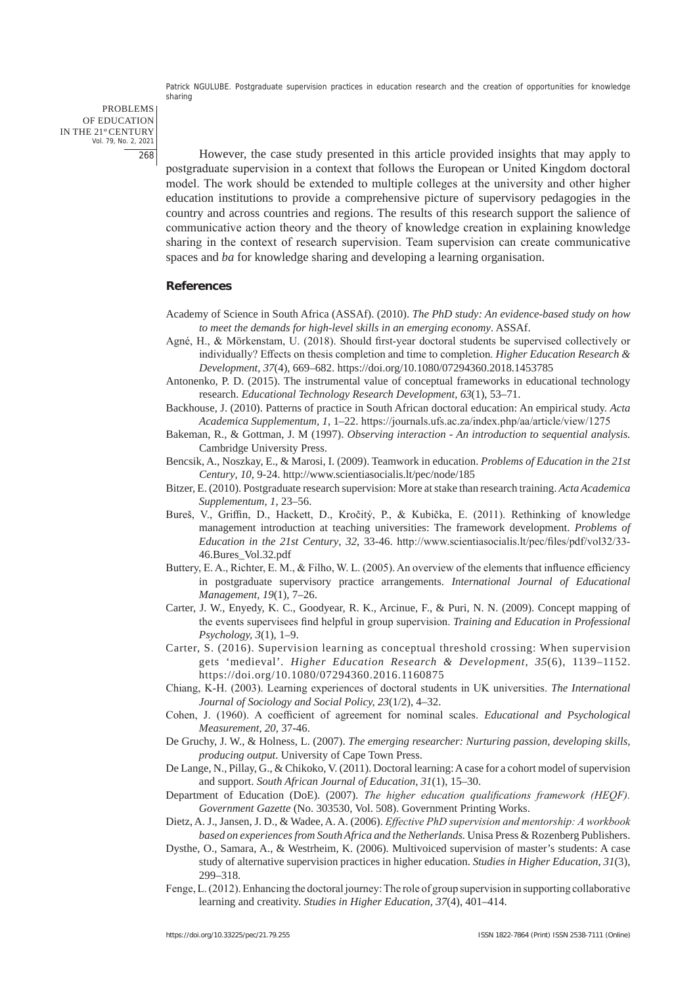PROBLEMS OF EDUCATION IN THE 21st CENTURY Vol. 79, No. 2, 2021 268

However, the case study presented in this article provided insights that may apply to postgraduate supervision in a context that follows the European or United Kingdom doctoral model. The work should be extended to multiple colleges at the university and other higher education institutions to provide a comprehensive picture of supervisory pedagogies in the country and across countries and regions. The results of this research support the salience of communicative action theory and the theory of knowledge creation in explaining knowledge sharing in the context of research supervision. Team supervision can create communicative spaces and *ba* for knowledge sharing and developing a learning organisation.

## **References**

- Academy of Science in South Africa (ASSAf). (2010). *The PhD study: An evidence-based study on how to meet the demands for high-level skills in an emerging economy*. ASSAf.
- Agné, H., & Mörkenstam, U. (2018). Should first-year doctoral students be supervised collectively or individually? Effects on thesis completion and time to completion. *Higher Education Research & Development*, *37*(4), 669–682. https://doi.org/10.1080/07294360.2018.1453785
- Antonenko, P. D. (2015). The instrumental value of conceptual frameworks in educational technology research. *Educational Technology Research Development, 63*(1), 53–71.
- Backhouse, J. (2010). Patterns of practice in South African doctoral education: An empirical study. *Acta Academica Supplementum, 1*, 1–22. https://journals.ufs.ac.za/index.php/aa/article/view/1275
- Bakeman, R., & Gottman, J. M (1997). *Observing interaction An introduction to sequential analysis.*  Cambridge University Press.
- Bencsik, A., Noszkay, E., & Marosi, I. (2009). Teamwork in education. *Problems of Education in the 21st Century*, *10*, 9-24. http://www.scientiasocialis.lt/pec/node/185
- Bitzer, E. (2010). Postgraduate research supervision: More at stake than research training. *Acta Academica Supplementum, 1*, 23–56.
- Bureš, V., Griffin, D., Hackett, D., Kročitý, P., & Kubička, E. (2011). Rethinking of knowledge management introduction at teaching universities: The framework development. *Problems of Education in the 21st Century*, *32*, 33-46. http://www.scientiasocialis.lt/pec/files/pdf/vol32/33- 46.Bures\_Vol.32.pdf
- Buttery, E. A., Richter, E. M., & Filho, W. L. (2005). An overview of the elements that influence efficiency in postgraduate supervisory practice arrangements. *International Journal of Educational Management, 19*(1), 7–26.
- Carter, J. W., Enyedy, K. C., Goodyear, R. K., Arcinue, F., & Puri, N. N. (2009). Concept mapping of the events supervisees find helpful in group supervision. *Training and Education in Professional Psychology, 3*(1), 1–9.
- Carter, S. (2016). Supervision learning as conceptual threshold crossing: When supervision gets 'medieval'*. Higher Education Research & Development*, *35*(6), 1139–1152. https://doi.org/10.1080/07294360.2016.1160875
- Chiang, K-H. (2003). Learning experiences of doctoral students in UK universities. *The International Journal of Sociology and Social Policy, 23*(1/2), 4–32.
- Cohen, J. (1960). A coefficient of agreement for nominal scales. *Educational and Psychological Measurement, 20*, 37-46.
- De Gruchy, J. W., & Holness, L. (2007). *The emerging researcher: Nurturing passion, developing skills, producing output*. University of Cape Town Press.
- De Lange, N., Pillay, G., & Chikoko, V. (2011). Doctoral learning: A case for a cohort model of supervision and support. *South African Journal of Education, 31*(1), 15–30.
- Department of Education (DoE). (2007). *The higher education qualifications framework (HEQF). Government Gazette* (No. 303530, Vol. 508). Government Printing Works.
- Dietz, A. J., Jansen, J. D., & Wadee, A. A. (2006). *Effective PhD supervision and mentorship: A workbook based on experiences from South Africa and the Netherlands.* Unisa Press & Rozenberg Publishers.
- Dysthe, O., Samara, A., & Westrheim, K. (2006). Multivoiced supervision of master's students: A case study of alternative supervision practices in higher education. *Studies in Higher Education*, *31*(3), 299–318.
- Fenge, L. (2012). Enhancing the doctoral journey: The role of group supervision in supporting collaborative learning and creativity. *Studies in Higher Education, 37*(4), 401–414.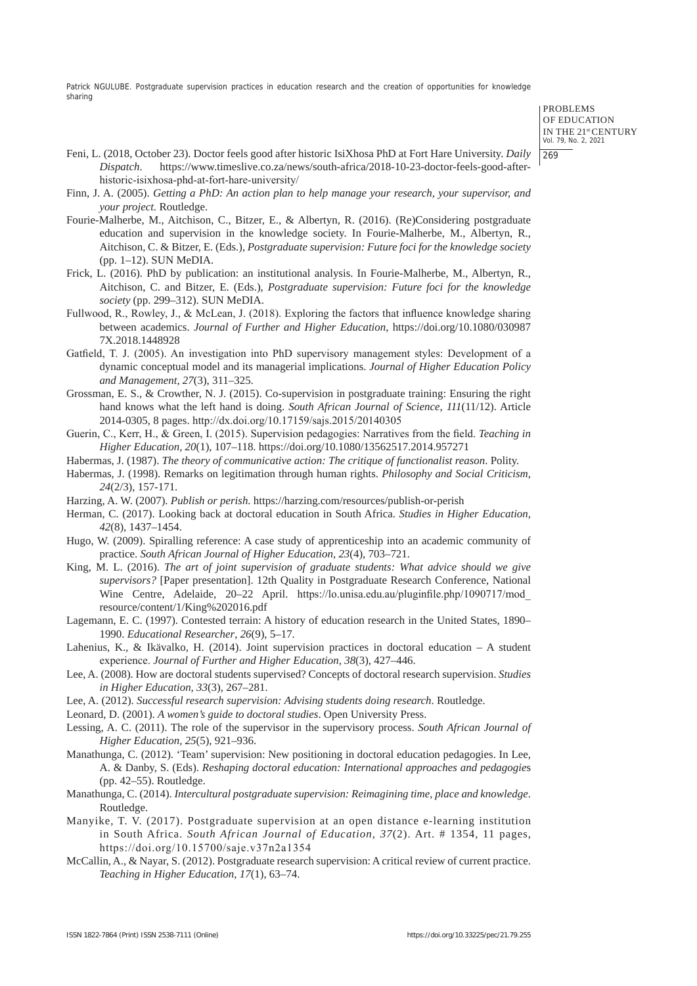> PROBLEMS OF EDUCATION IN THE 21st CENTURY Vol. 79, No. 2, 2021 269

- Feni, L. (2018, October 23). Doctor feels good after historic IsiXhosa PhD at Fort Hare University. *Daily Dispatch*. https://www.timeslive.co.za/news/south-africa/2018-10-23-doctor-feels-good-afterhistoric-isixhosa-phd-at-fort-hare-university/
- Finn, J. A. (2005). *Getting a PhD: An action plan to help manage your research, your supervisor, and your project.* Routledge.
- Fourie-Malherbe, M., Aitchison, C., Bitzer, E., & Albertyn, R. (2016). (Re)Considering postgraduate education and supervision in the knowledge society. In Fourie-Malherbe, M., Albertyn, R., Aitchison, C. & Bitzer, E. (Eds.), *Postgraduate supervision: Future foci for the knowledge society*  (pp. 1–12). SUN MeDIA.
- Frick, L. (2016). PhD by publication: an institutional analysis. In Fourie-Malherbe, M., Albertyn, R., Aitchison, C. and Bitzer, E. (Eds.), *Postgraduate supervision: Future foci for the knowledge society* (pp. 299–312). SUN MeDIA.
- Fullwood, R., Rowley, J., & McLean, J. (2018). Exploring the factors that influence knowledge sharing between academics. *Journal of Further and Higher Education*, https://doi.org/10.1080/030987 7X.2018.1448928
- Gatfield, T. J. (2005). An investigation into PhD supervisory management styles: Development of a dynamic conceptual model and its managerial implications. *Journal of Higher Education Policy and Management, 27*(3), 311–325.
- Grossman, E. S., & Crowther, N. J. (2015). Co-supervision in postgraduate training: Ensuring the right hand knows what the left hand is doing. *South African Journal of Science, 111*(11/12). Article 2014-0305, 8 pages. http://dx.doi.org/10.17159/sajs.2015/20140305
- Guerin, C., Kerr, H., & Green, I. (2015). Supervision pedagogies: Narratives from the field. *Teaching in Higher Education, 20*(1), 107–118. https://doi.org/10.1080/13562517.2014.957271
- Habermas, J. (1987). *The theory of communicative action: The critique of functionalist reason*. Polity.
- Habermas, J. (1998). Remarks on legitimation through human rights. *Philosophy and Social Criticism*, *24*(2/3), 157-171.
- Harzing, A. W. (2007). *Publish or perish*. https://harzing.com/resources/publish-or-perish
- Herman, C. (2017). Looking back at doctoral education in South Africa. *Studies in Higher Education, 42*(8), 1437–1454.
- Hugo, W. (2009). Spiralling reference: A case study of apprenticeship into an academic community of practice. *South African Journal of Higher Education, 23*(4), 703–721.
- King, M. L. (2016). *The art of joint supervision of graduate students: What advice should we give supervisors?* [Paper presentation]. 12th Quality in Postgraduate Research Conference, National Wine Centre, Adelaide, 20–22 April. https://lo.unisa.edu.au/pluginfile.php/1090717/mod\_ resource/content/1/King%202016.pdf
- Lagemann, E. C. (1997). Contested terrain: A history of education research in the United States, 1890– 1990. *Educational Researcher*, *26*(9), 5–17.
- Lahenius, K., & Ikävalko, H. (2014). Joint supervision practices in doctoral education A student experience. *Journal of Further and Higher Education, 38*(3), 427–446.
- Lee, A. (2008). How are doctoral students supervised? Concepts of doctoral research supervision. *Studies in Higher Education, 33*(3), 267–281.
- Lee, A. (2012). *Successful research supervision: Advising students doing research*. Routledge.
- Leonard, D. (2001). *A women's guide to doctoral studies*. Open University Press.
- Lessing, A. C. (2011). The role of the supervisor in the supervisory process. *South African Journal of Higher Education, 25*(5), 921–936.
- Manathunga, C. (2012). 'Team' supervision: New positioning in doctoral education pedagogies. In Lee, A. & Danby, S. (Eds). *Reshaping doctoral education: International approaches and pedagogie*s (pp. 42–55). Routledge.
- Manathunga, C. (2014). *Intercultural postgraduate supervision: Reimagining time, place and knowledge*. Routledge.
- Manyike, T. V. (2017). Postgraduate supervision at an open distance e-learning institution in South Africa. *South African Journal of Education, 37*(2). Art. # 1354, 11 pages, https://doi.org/10.15700/saje.v37n2a1354
- McCallin, A., & Nayar, S. (2012). Postgraduate research supervision: A critical review of current practice. *Teaching in Higher Education, 17*(1), 63–74.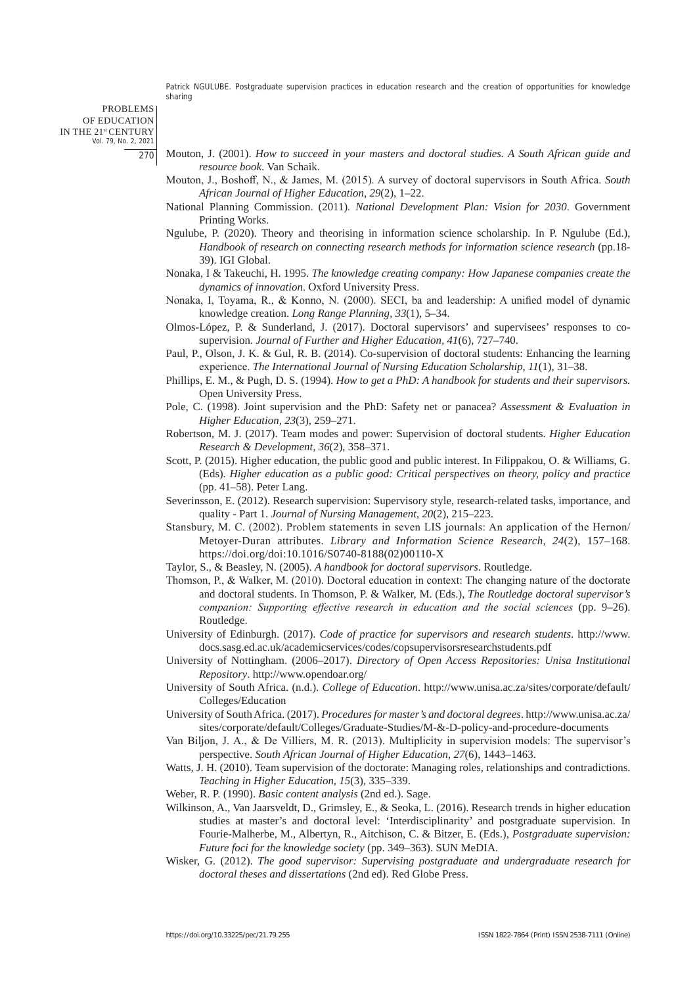PROBLEMS OF EDUCATION IN THE 21st CENTURY Vol. 79, No. 2, 2021 270

- Mouton, J. (2001). *How to succeed in your masters and doctoral studies. A South African guide and resource book*. Van Schaik.
- Mouton, J., Boshoff, N., & James, M. (2015). A survey of doctoral supervisors in South Africa. *South African Journal of Higher Education, 29*(2), 1–22.
- National Planning Commission. (2011)*. National Development Plan: Vision for 2030*. Government Printing Works.
- Ngulube, P. (2020). Theory and theorising in information science scholarship. In P. Ngulube (Ed.), *Handbook of research on connecting research methods for information science research* (pp.18- 39). IGI Global.
- Nonaka, I & Takeuchi, H. 1995. *The knowledge creating company: How Japanese companies create the dynamics of innovation*. Oxford University Press.
- Nonaka, I, Toyama, R., & Konno, N. (2000). SECI, ba and leadership: A unified model of dynamic knowledge creation. *Long Range Planning, 33*(1), 5–34.
- Olmos-López, P. & Sunderland, J. (2017). Doctoral supervisors' and supervisees' responses to cosupervision. *Journal of Further and Higher Education, 41*(6), 727–740.
- Paul, P., Olson, J. K. & Gul, R. B. (2014). Co-supervision of doctoral students: Enhancing the learning experience. *The International Journal of Nursing Education Scholarship*, *11*(1), 31–38.
- Phillips, E. M., & Pugh, D. S. (1994). *How to get a PhD: A handbook for students and their supervisors.* Open University Press.
- Pole, C. (1998). Joint supervision and the PhD: Safety net or panacea? *Assessment & Evaluation in Higher Education, 23*(3), 259–271.
- Robertson, M. J. (2017). Team modes and power: Supervision of doctoral students. *Higher Education Research & Development, 36*(2), 358–371.
- Scott, P. (2015). Higher education, the public good and public interest. In Filippakou, O. & Williams, G. (Eds). *Higher education as a public good: Critical perspectives on theory, policy and practice*  (pp. 41–58). Peter Lang.
- Severinsson, E. (2012). Research supervision: Supervisory style, research-related tasks, importance, and quality - Part 1. *Journal of Nursing Management*, *20*(2), 215–223.
- Stansbury, M. C. (2002). Problem statements in seven LIS journals: An application of the Hernon/ Metoyer-Duran attributes. *Library and Information Science Research*, *24*(2), 157–168. https://doi.org/doi:10.1016/S0740-8188(02)00110-X
- Taylor, S., & Beasley, N. (2005). *A handbook for doctoral supervisors*. Routledge.
- Thomson, P., & Walker, M. (2010). Doctoral education in context: The changing nature of the doctorate and doctoral students. In Thomson, P. & Walker, M. (Eds.), *The Routledge doctoral supervisor's companion: Supporting effective research in education and the social sciences* (pp. 9–26). Routledge.
- University of Edinburgh. (2017). *Code of practice for supervisors and research students*. http://www. docs.sasg.ed.ac.uk/academicservices/codes/copsupervisorsresearchstudents.pdf
- University of Nottingham. (2006–2017). *Directory of Open Access Repositories: Unisa Institutional Repository*. http://www.opendoar.org/
- University of South Africa. (n.d.). *College of Education*. http://www.unisa.ac.za/sites/corporate/default/ Colleges/Education
- University of South Africa. (2017). *Procedures for master's and doctoral degrees*. http://www.unisa.ac.za/ sites/corporate/default/Colleges/Graduate-Studies/M-&-D-policy-and-procedure-documents
- Van Biljon, J. A., & De Villiers, M. R. (2013). Multiplicity in supervision models: The supervisor's perspective. *South African Journal of Higher Education, 27*(6), 1443–1463.
- Watts, J. H. (2010). Team supervision of the doctorate: Managing roles, relationships and contradictions. *Teaching in Higher Education, 15*(3), 335–339.
- Weber, R. P. (1990). *Basic content analysis* (2nd ed.). Sage.
- Wilkinson, A., Van Jaarsveldt, D., Grimsley, E., & Seoka, L. (2016). Research trends in higher education studies at master's and doctoral level: 'Interdisciplinarity' and postgraduate supervision. In Fourie-Malherbe, M., Albertyn, R., Aitchison, C. & Bitzer, E. (Eds.), *Postgraduate supervision: Future foci for the knowledge society* (pp. 349–363). SUN MeDIA.
- Wisker, G. (2012). *The good supervisor: Supervising postgraduate and undergraduate research for doctoral theses and dissertations* (2nd ed). Red Globe Press.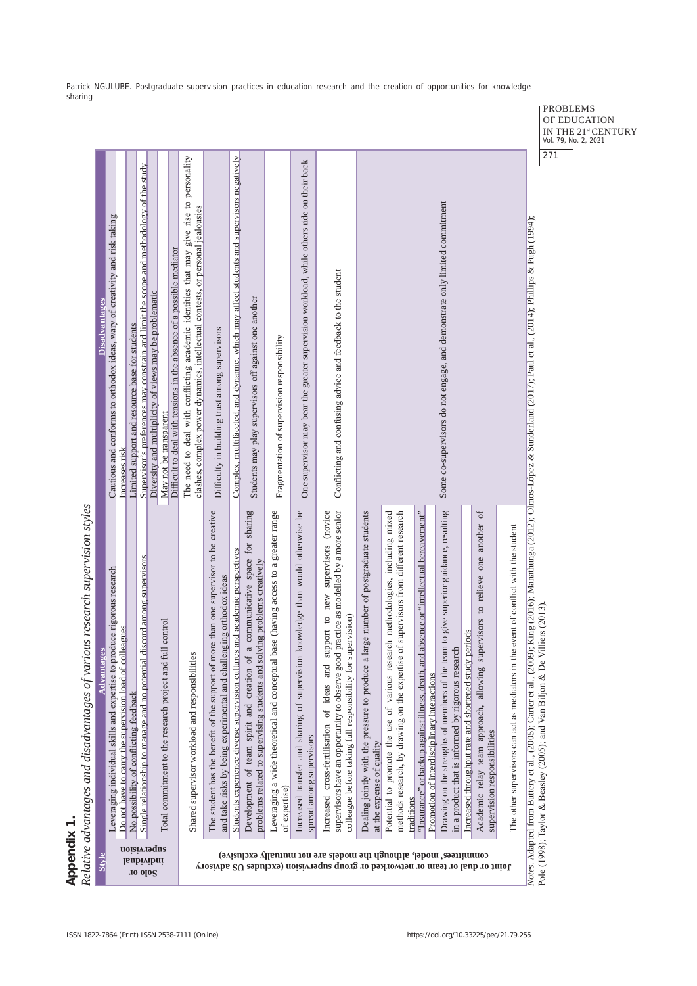| <b>Styl</b>                                                                                                                                         | <b>Advantages</b>                                                                                                                                                                                                                            | <b>Disadvantages</b>                                                                                                                                                      |
|-----------------------------------------------------------------------------------------------------------------------------------------------------|----------------------------------------------------------------------------------------------------------------------------------------------------------------------------------------------------------------------------------------------|---------------------------------------------------------------------------------------------------------------------------------------------------------------------------|
|                                                                                                                                                     | produce rigorous research<br>Leveraging individual skills and expertise to                                                                                                                                                                   | Cautious and conforms to orthodox ideas, wary of creativity and risk taking                                                                                               |
|                                                                                                                                                     | Do not have to carry the supervision load of colleagues                                                                                                                                                                                      | Increases risk                                                                                                                                                            |
|                                                                                                                                                     | No possibility of conflicting feedback                                                                                                                                                                                                       | Limited support and resource base for students                                                                                                                            |
| <b>10 olo</b> S                                                                                                                                     | Single relationship to manage and no potential discord among supervisors                                                                                                                                                                     | Supervisor's preferences may constrain and limit the scope and methodology of the study                                                                                   |
| noisivagus<br><b>Isubivibni</b>                                                                                                                     | full control<br>Total commitment to the research project and                                                                                                                                                                                 | Diversity and multiplicity of views may be problematic<br>May not be transparent                                                                                          |
|                                                                                                                                                     |                                                                                                                                                                                                                                              | Difficult to deal with tensions in the absence of a possible mediator                                                                                                     |
|                                                                                                                                                     | Shared supervisor workload and responsibilities                                                                                                                                                                                              | The need to deal with conflicting academic identities that may give rise to personality<br>clashes, complex power dynamics, intellectual contests, or personal jealousies |
|                                                                                                                                                     | more than one supervisor to be creative<br>and take risks by being experimental and challenging orthodox ideas<br>The student has the benefit of the support of                                                                              | Difficulty in building trust among supervisors                                                                                                                            |
|                                                                                                                                                     | ures and academic perspectives<br>Students experience diverse supervision cultured                                                                                                                                                           | Complex, multifaceted, and dynamic, which may affect students and supervisors negatively                                                                                  |
|                                                                                                                                                     | of a communicative space for sharing<br>solving problems creatively<br>problems related to supervising students and<br>Development of team spirit and creation                                                                               | Students may play supervisors off against one another                                                                                                                     |
|                                                                                                                                                     | Leveraging a wide theoretical and conceptual base (having access to a greater range<br>of expertise)                                                                                                                                         | Fragmentation of supervision responsibility                                                                                                                               |
|                                                                                                                                                     | on knowledge than would otherwise be<br>Increased transfer and sharing of supervisio<br>spread among supervisors                                                                                                                             | One supervisor may bear the greater supervision workload, while others ride on their back                                                                                 |
| committees' model, although the models are not mutually exclusive)<br>Joint or dual or team or networked or group supervision (excludes US advisory | supervisors have an opportunity to observe good practice as modelled by a more senior<br>support to new supervisors (novice<br>supervision)<br>colleague before taking full responsibility for<br>Increased cross-fertilisation of ideas and | Conflicting and confusing advice and feedback to the student                                                                                                              |
|                                                                                                                                                     | a large number of postgraduate students<br>Dealing jointly with the pressure to produce<br>at the expense of quality                                                                                                                         |                                                                                                                                                                           |
|                                                                                                                                                     | methods research, by drawing on the expertise of supervisors from different research<br>Potential to promote the use of various research methodologies, including mixed<br>traditions                                                        |                                                                                                                                                                           |
|                                                                                                                                                     | "Insurance" or backup against illness, death, and absence or "intellectual bereavement"<br>Promotion of interdisciplinary interactions                                                                                                       |                                                                                                                                                                           |
|                                                                                                                                                     | team to give superior guidance, resulting<br>in a product that is informed by rigorous research<br>Drawing on the strengths of members of the                                                                                                | Some co-supervisors do not engage, and demonstrate only limited commitment                                                                                                |
|                                                                                                                                                     | Increased throughput rate and shortened study periods                                                                                                                                                                                        |                                                                                                                                                                           |
|                                                                                                                                                     | supervisors to relieve one another of<br>Academic relay team approach, allowing<br>supervision responsibilities                                                                                                                              |                                                                                                                                                                           |
|                                                                                                                                                     | the event of conflict with the student<br>The other supervisors can act as mediators in                                                                                                                                                      |                                                                                                                                                                           |

Pole (1998); Taylor & Beasley (2005); and Van Biljon & De Villiers (2013).

PROBLEMS OF EDUCATION IN THE 21<sup>st</sup> CENTURY<br>Vol. 79, No. 2, 2021 271